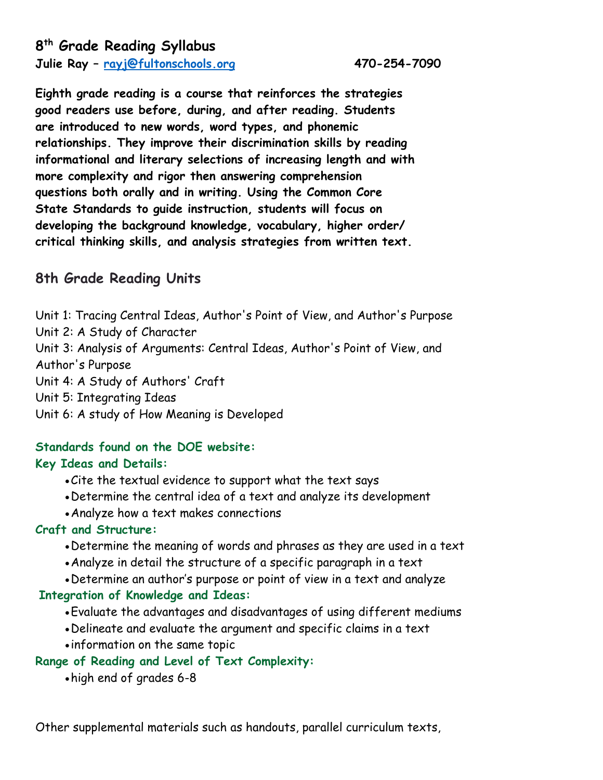**Julie Ray – [rayj@fultonschools.org](mailto:rayj@fultonschools.org) 470-254-7090**

**Eighth grade reading is a course that reinforces the strategies good readers use before, during, and after reading. Students are introduced to new words, word types, and phonemic relationships. They improve their discrimination skills by reading informational and literary selections of increasing length and with more complexity and rigor then answering comprehension questions both orally and in writing. Using the Common Core State Standards to guide instruction, students will focus on developing the background knowledge, vocabulary, higher order/ critical thinking skills, and analysis strategies from written text.**

### **8th Grade Reading Units**

Unit 1: Tracing Central Ideas, Author's Point of View, and Author's Purpose Unit 2: A Study of Character Unit 3: Analysis of Arguments: Central Ideas, Author's Point of View, and Author's Purpose Unit 4: A Study of Authors' Craft Unit 5: Integrating Ideas Unit 6: A study of How Meaning is Developed

# **Standards found on the DOE website:**

#### **Key Ideas and Details:**

- •Cite the textual evidence to support what the text says
- •Determine the central idea of a text and analyze its development
- •Analyze how a text makes connections

#### **Craft and Structure:**

- •Determine the meaning of words and phrases as they are used in a text
- •Analyze in detail the structure of a specific paragraph in a text
- •Determine an author's purpose or point of view in a text and analyze

#### **Integration of Knowledge and Ideas:**

- •Evaluate the advantages and disadvantages of using different mediums
- •Delineate and evaluate the argument and specific claims in a text
- information on the same topic

#### **Range of Reading and Level of Text Complexity:**

•high end of grades 6-8

Other supplemental materials such as handouts, parallel curriculum texts,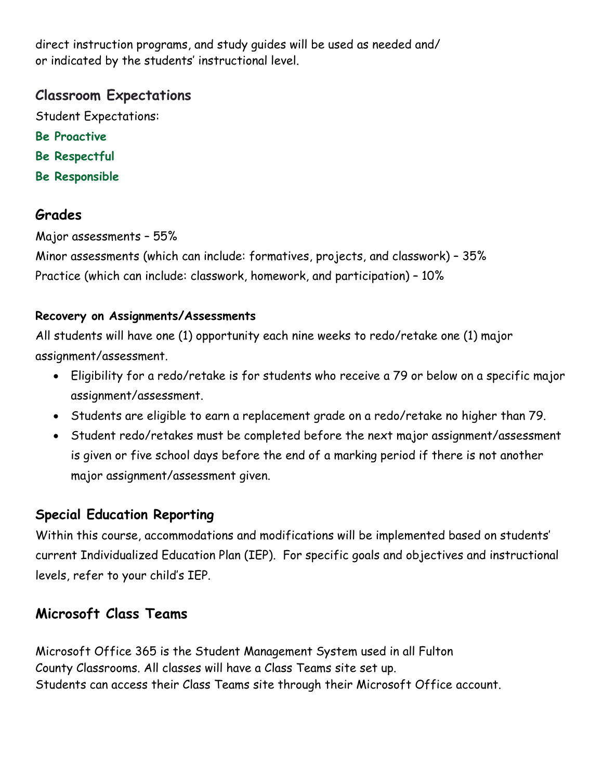direct instruction programs, and study guides will be used as needed and/ or indicated by the students' instructional level.

### **Classroom Expectations**

Student Expectations:

- **Be Proactive**
- **Be Respectful**
- **Be Responsible**

## **Grades**

Major assessments – 55%

Minor assessments (which can include: formatives, projects, and classwork) – 35% Practice (which can include: classwork, homework, and participation) – 10%

### **Recovery on Assignments/Assessments**

All students will have one (1) opportunity each nine weeks to redo/retake one (1) major assignment/assessment.

- Eligibility for a redo/retake is for students who receive a 79 or below on a specific major assignment/assessment.
- Students are eligible to earn a replacement grade on a redo/retake no higher than 79.
- Student redo/retakes must be completed before the next major assignment/assessment is given or five school days before the end of a marking period if there is not another major assignment/assessment given.

## **Special Education Reporting**

Within this course, accommodations and modifications will be implemented based on students' current Individualized Education Plan (IEP). For specific goals and objectives and instructional levels, refer to your child's IEP.

# **Microsoft Class Teams**

Microsoft Office 365 is the Student Management System used in all Fulton County Classrooms. All classes will have a Class Teams site set up. Students can access their Class Teams site through their Microsoft Office account.